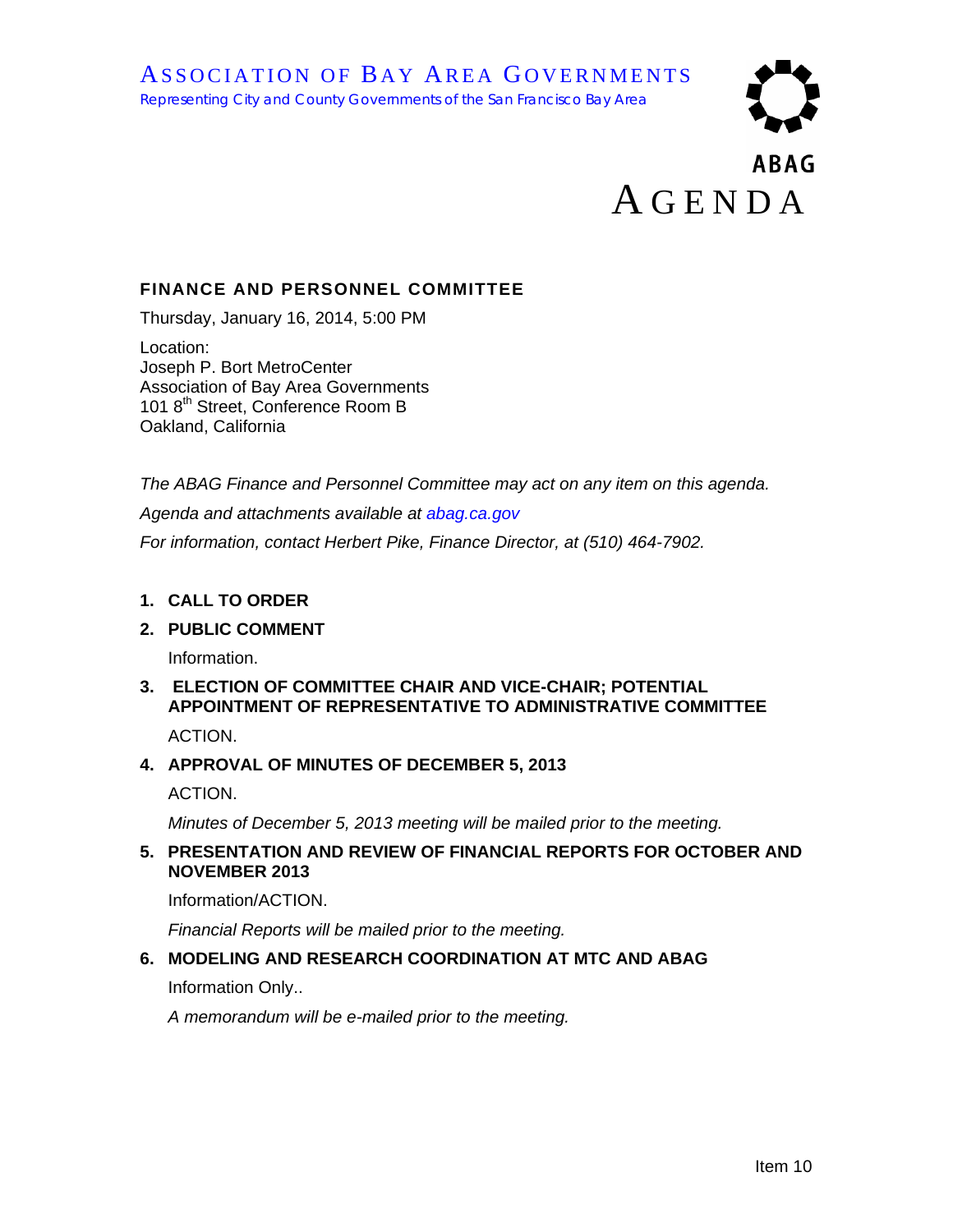# **ABAG** A GENDA

## **FINANCE AND PERSONNEL COMMITTEE**

Thursday, January 16, 2014, 5:00 PM

Location: Joseph P. Bort MetroCenter Association of Bay Area Governments 101 8<sup>th</sup> Street, Conference Room B Oakland, California

*The ABAG Finance and Personnel Committee may act on any item on this agenda.* 

*Agenda and attachments available at abag.ca.gov*

*For information, contact Herbert Pike, Finance Director, at (510) 464-7902.* 

#### **1. CALL TO ORDER**

#### **2. PUBLIC COMMENT**

Information.

# **3. ELECTION OF COMMITTEE CHAIR AND VICE-CHAIR; POTENTIAL APPOINTMENT OF REPRESENTATIVE TO ADMINISTRATIVE COMMITTEE**

ACTION.

#### **4. APPROVAL OF MINUTES OF DECEMBER 5, 2013**

ACTION.

*Minutes of December 5, 2013 meeting will be mailed prior to the meeting.* 

#### **5. PRESENTATION AND REVIEW OF FINANCIAL REPORTS FOR OCTOBER AND NOVEMBER 2013**

Information/ACTION.

*Financial Reports will be mailed prior to the meeting.* 

#### **6. MODELING AND RESEARCH COORDINATION AT MTC AND ABAG**

Information Only..

*A memorandum will be e-mailed prior to the meeting.*